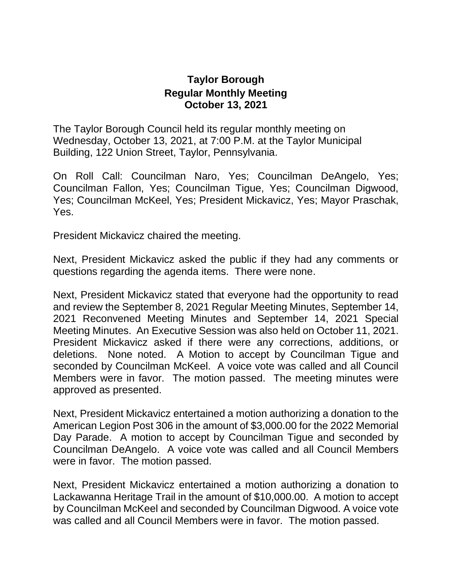## **Taylor Borough Regular Monthly Meeting October 13, 2021**

The Taylor Borough Council held its regular monthly meeting on Wednesday, October 13, 2021, at 7:00 P.M. at the Taylor Municipal Building, 122 Union Street, Taylor, Pennsylvania.

On Roll Call: Councilman Naro, Yes; Councilman DeAngelo, Yes; Councilman Fallon, Yes; Councilman Tigue, Yes; Councilman Digwood, Yes; Councilman McKeel, Yes; President Mickavicz, Yes; Mayor Praschak, Yes.

President Mickavicz chaired the meeting.

Next, President Mickavicz asked the public if they had any comments or questions regarding the agenda items. There were none.

Next, President Mickavicz stated that everyone had the opportunity to read and review the September 8, 2021 Regular Meeting Minutes, September 14, 2021 Reconvened Meeting Minutes and September 14, 2021 Special Meeting Minutes. An Executive Session was also held on October 11, 2021. President Mickavicz asked if there were any corrections, additions, or deletions. None noted. A Motion to accept by Councilman Tigue and seconded by Councilman McKeel. A voice vote was called and all Council Members were in favor. The motion passed. The meeting minutes were approved as presented.

Next, President Mickavicz entertained a motion authorizing a donation to the American Legion Post 306 in the amount of \$3,000.00 for the 2022 Memorial Day Parade. A motion to accept by Councilman Tigue and seconded by Councilman DeAngelo. A voice vote was called and all Council Members were in favor. The motion passed.

Next, President Mickavicz entertained a motion authorizing a donation to Lackawanna Heritage Trail in the amount of \$10,000.00. A motion to accept by Councilman McKeel and seconded by Councilman Digwood. A voice vote was called and all Council Members were in favor. The motion passed.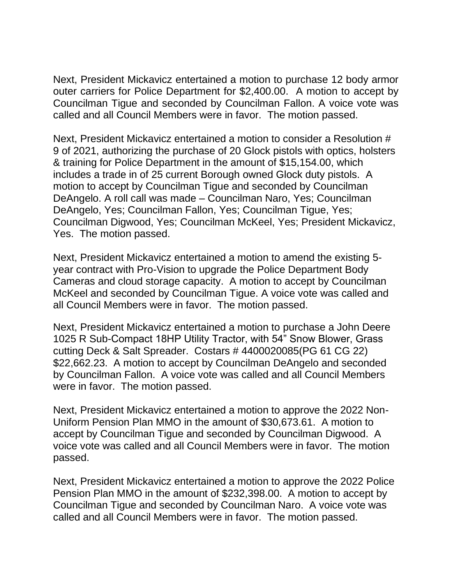Next, President Mickavicz entertained a motion to purchase 12 body armor outer carriers for Police Department for \$2,400.00. A motion to accept by Councilman Tigue and seconded by Councilman Fallon. A voice vote was called and all Council Members were in favor. The motion passed.

Next, President Mickavicz entertained a motion to consider a Resolution # 9 of 2021, authorizing the purchase of 20 Glock pistols with optics, holsters & training for Police Department in the amount of \$15,154.00, which includes a trade in of 25 current Borough owned Glock duty pistols. A motion to accept by Councilman Tigue and seconded by Councilman DeAngelo. A roll call was made – Councilman Naro, Yes; Councilman DeAngelo, Yes; Councilman Fallon, Yes; Councilman Tigue, Yes; Councilman Digwood, Yes; Councilman McKeel, Yes; President Mickavicz, Yes. The motion passed.

Next, President Mickavicz entertained a motion to amend the existing 5 year contract with Pro-Vision to upgrade the Police Department Body Cameras and cloud storage capacity. A motion to accept by Councilman McKeel and seconded by Councilman Tigue. A voice vote was called and all Council Members were in favor. The motion passed.

Next, President Mickavicz entertained a motion to purchase a John Deere 1025 R Sub-Compact 18HP Utility Tractor, with 54" Snow Blower, Grass cutting Deck & Salt Spreader. Costars # 4400020085(PG 61 CG 22) \$22,662.23. A motion to accept by Councilman DeAngelo and seconded by Councilman Fallon. A voice vote was called and all Council Members were in favor. The motion passed.

Next, President Mickavicz entertained a motion to approve the 2022 Non-Uniform Pension Plan MMO in the amount of \$30,673.61. A motion to accept by Councilman Tigue and seconded by Councilman Digwood. A voice vote was called and all Council Members were in favor. The motion passed.

Next, President Mickavicz entertained a motion to approve the 2022 Police Pension Plan MMO in the amount of \$232,398.00. A motion to accept by Councilman Tigue and seconded by Councilman Naro. A voice vote was called and all Council Members were in favor. The motion passed.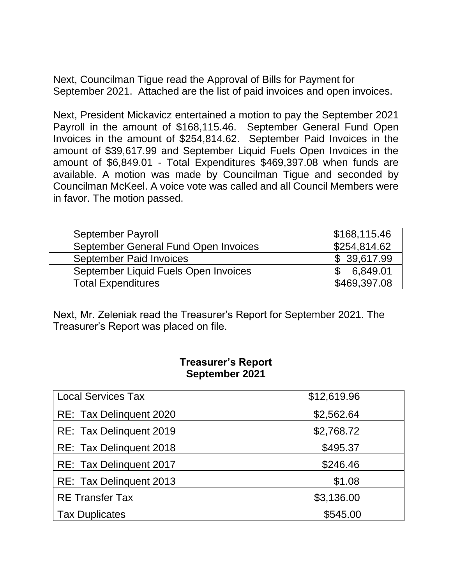Next, Councilman Tigue read the Approval of Bills for Payment for September 2021. Attached are the list of paid invoices and open invoices.

Next, President Mickavicz entertained a motion to pay the September 2021 Payroll in the amount of \$168,115.46. September General Fund Open Invoices in the amount of \$254,814.62. September Paid Invoices in the amount of \$39,617.99 and September Liquid Fuels Open Invoices in the amount of \$6,849.01 - Total Expenditures \$469,397.08 when funds are available. A motion was made by Councilman Tigue and seconded by Councilman McKeel. A voice vote was called and all Council Members were in favor. The motion passed.

| <b>September Payroll</b>             | \$168,115.46         |
|--------------------------------------|----------------------|
| September General Fund Open Invoices | \$254,814.62         |
| <b>September Paid Invoices</b>       | \$39,617.99          |
| September Liquid Fuels Open Invoices | 6.849.01<br><b>C</b> |
| <b>Total Expenditures</b>            | \$469,397.08         |

Next, Mr. Zeleniak read the Treasurer's Report for September 2021. The Treasurer's Report was placed on file.

## **Treasurer's Report September 2021**

| <b>Local Services Tax</b> | \$12,619.96 |
|---------------------------|-------------|
| RE: Tax Delinquent 2020   | \$2,562.64  |
| RE: Tax Delinguent 2019   | \$2,768.72  |
| RE: Tax Delinguent 2018   | \$495.37    |
| RE: Tax Delinguent 2017   | \$246.46    |
| RE: Tax Delinguent 2013   | \$1.08      |
| <b>RE Transfer Tax</b>    | \$3,136.00  |
| <b>Tax Duplicates</b>     | \$545.00    |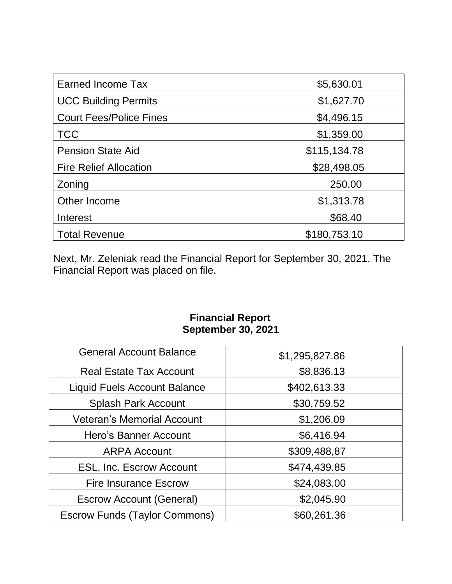| Earned Income Tax              | \$5,630.01   |
|--------------------------------|--------------|
| <b>UCC Building Permits</b>    | \$1,627.70   |
| <b>Court Fees/Police Fines</b> | \$4,496.15   |
| <b>TCC</b>                     | \$1,359.00   |
| <b>Pension State Aid</b>       | \$115,134.78 |
| <b>Fire Relief Allocation</b>  | \$28,498.05  |
| Zoning                         | 250.00       |
| Other Income                   | \$1,313.78   |
| Interest                       | \$68.40      |
| <b>Total Revenue</b>           | \$180,753.10 |

Next, Mr. Zeleniak read the Financial Report for September 30, 2021. The Financial Report was placed on file.

## **Financial Report September 30, 2021**

| <b>General Account Balance</b>      | \$1,295,827.86 |
|-------------------------------------|----------------|
| <b>Real Estate Tax Account</b>      | \$8,836.13     |
| <b>Liquid Fuels Account Balance</b> | \$402,613.33   |
| <b>Splash Park Account</b>          | \$30,759.52    |
| <b>Veteran's Memorial Account</b>   | \$1,206.09     |
| Hero's Banner Account               | \$6,416.94     |
| <b>ARPA Account</b>                 | \$309,488,87   |
| <b>ESL, Inc. Escrow Account</b>     | \$474,439.85   |
| <b>Fire Insurance Escrow</b>        | \$24,083.00    |
| <b>Escrow Account (General)</b>     | \$2,045.90     |
| Escrow Funds (Taylor Commons)       | \$60,261.36    |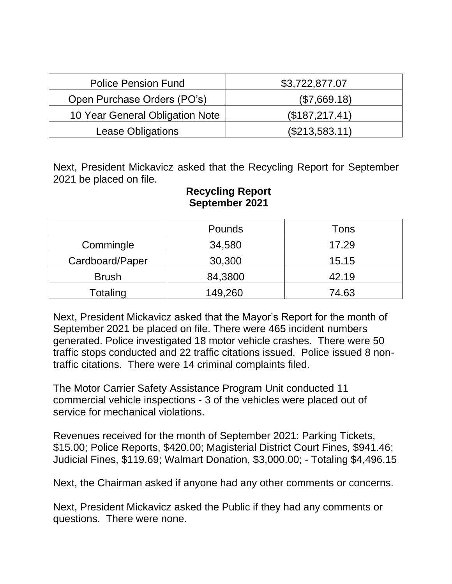| <b>Police Pension Fund</b>      | \$3,722,877.07   |
|---------------------------------|------------------|
| Open Purchase Orders (PO's)     | (\$7,669.18)     |
| 10 Year General Obligation Note | (\$187,217.41)   |
| Lease Obligations               | $(\$213,583.11)$ |

Next, President Mickavicz asked that the Recycling Report for September 2021 be placed on file.

|                 | Pounds  | Tons  |
|-----------------|---------|-------|
| Commingle       | 34,580  | 17.29 |
| Cardboard/Paper | 30,300  | 15.15 |
| <b>Brush</b>    | 84,3800 | 42.19 |
| Totaling        | 149,260 | 74.63 |

## **Recycling Report September 2021**

Next, President Mickavicz asked that the Mayor's Report for the month of September 2021 be placed on file. There were 465 incident numbers generated. Police investigated 18 motor vehicle crashes. There were 50 traffic stops conducted and 22 traffic citations issued. Police issued 8 nontraffic citations. There were 14 criminal complaints filed.

The Motor Carrier Safety Assistance Program Unit conducted 11 commercial vehicle inspections - 3 of the vehicles were placed out of service for mechanical violations.

Revenues received for the month of September 2021: Parking Tickets, \$15.00; Police Reports, \$420.00; Magisterial District Court Fines, \$941.46; Judicial Fines, \$119.69; Walmart Donation, \$3,000.00; - Totaling \$4,496.15

Next, the Chairman asked if anyone had any other comments or concerns.

Next, President Mickavicz asked the Public if they had any comments or questions. There were none.